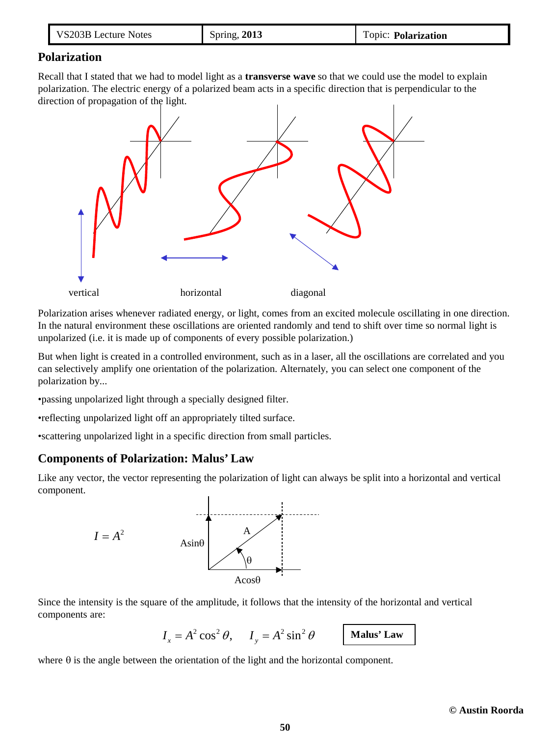| VS203B Lecture Notes | Spring, $2013$ | Topic: <b>Polarization</b> |
|----------------------|----------------|----------------------------|
|----------------------|----------------|----------------------------|

#### **Polarization**

Recall that I stated that we had to model light as a **transverse wave** so that we could use the model to explain polarization. The electric energy of a polarized beam acts in a specific direction that is perpendicular to the direction of propagation of the light.



Polarization arises whenever radiated energy, or light, comes from an excited molecule oscillating in one direction. In the natural environment these oscillations are oriented randomly and tend to shift over time so normal light is unpolarized (i.e. it is made up of components of every possible polarization.)

But when light is created in a controlled environment, such as in a laser, all the oscillations are correlated and you can selectively amplify one orientation of the polarization. Alternately, you can select one component of the polarization by...

•passing unpolarized light through a specially designed filter.

•reflecting unpolarized light off an appropriately tilted surface.

•scattering unpolarized light in a specific direction from small particles.

# **Components of Polarization: Malus' Law**

Like any vector, the vector representing the polarization of light can always be split into a horizontal and vertical component.



Since the intensity is the square of the amplitude, it follows that the intensity of the horizontal and vertical components are:

 $I_r = A^2 \cos^2 \theta$ ,  $I_v = A^2 \sin^2 \theta$ 

**Malus' Law**

where  $\theta$  is the angle between the orientation of the light and the horizontal component.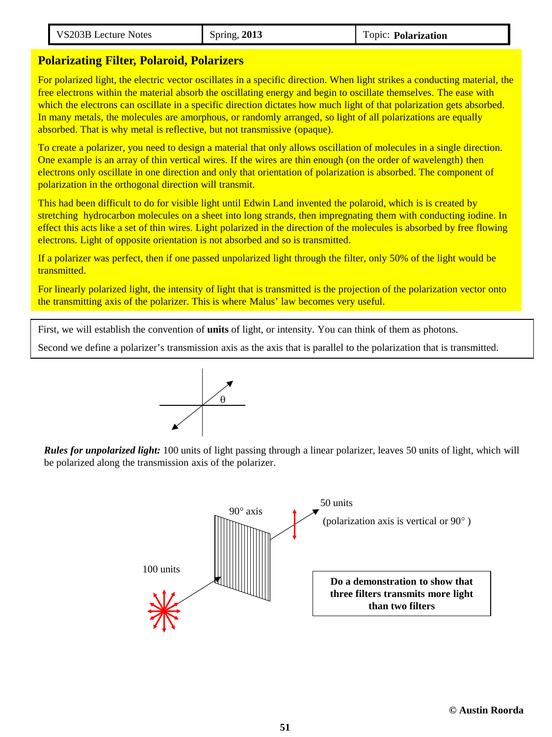| <b>Notes</b><br>,,<br>ecture | $\cdots$<br>2013 | opic.<br>arization |
|------------------------------|------------------|--------------------|
|                              |                  |                    |

## **Polarizating Filter, Polaroid, Polarizers**

For polarized light, the electric vector oscillates in a specific direction. When light strikes a conducting material, the free electrons within the material absorb the oscillating energy and begin to oscillate themselves. The ease with which the electrons can oscillate in a specific direction dictates how much light of that polarization gets absorbed. In many metals, the molecules are amorphous, or randomly arranged, so light of all polarizations are equally absorbed. That is why metal is reflective, but not transmissive (opaque).

To create a polarizer, you need to design a material that only allows oscillation of molecules in a single direction. One example is an array of thin vertical wires. If the wires are thin enough (on the order of wavelength) then electrons only oscillate in one direction and only that orientation of polarization is absorbed. The component of polarization in the orthogonal direction will transmit.

This had been difficult to do for visible light until Edwin Land invented the polaroid, which is is created by stretching hydrocarbon molecules on a sheet into long strands, then impregnating them with conducting iodine. In effect this acts like a set of thin wires. Light polarized in the direction of the molecules is absorbed by free flowing electrons. Light of opposite orientation is not absorbed and so is transmitted.

If a polarizer was perfect, then if one passed unpolarized light through the filter, only 50% of the light would be transmitted.

For linearly polarized light, the intensity of light that is transmitted is the projection of the polarization vector onto the transmitting axis of the polarizer. This is where Malus' law becomes very useful.

First, we will establish the convention of **units** of light, or intensity. You can think of them as photons.

Second we define a polarizer's transmission axis as the axis that is parallel to the polarization that is transmitted.



*Rules for unpolarized light:* 100 units of light passing through a linear polarizer, leaves 50 units of light, which will be polarized along the transmission axis of the polarizer.

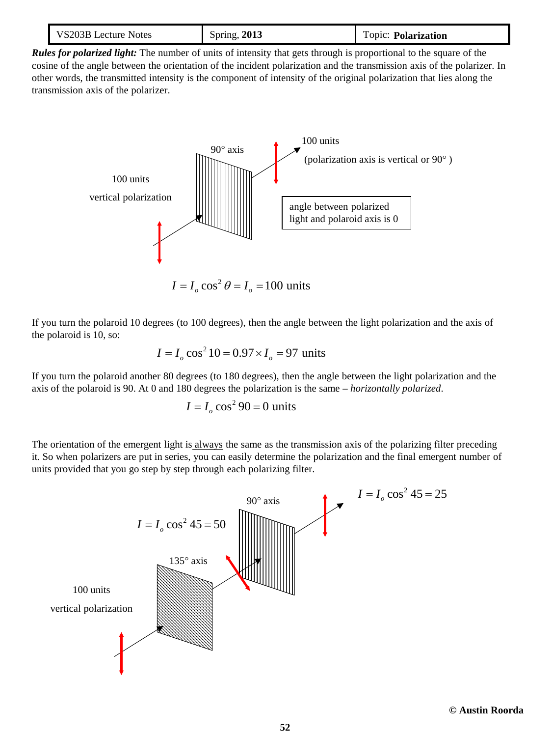| VS203B Lecture Notes | <b>Spring, 2013</b> | Topic: Polarization |
|----------------------|---------------------|---------------------|
|----------------------|---------------------|---------------------|

*Rules for polarized light:* The number of units of intensity that gets through is proportional to the square of the cosine of the angle between the orientation of the incident polarization and the transmission axis of the polarizer. In other words, the transmitted intensity is the component of intensity of the original polarization that lies along the transmission axis of the polarizer.



If you turn the polaroid 10 degrees (to 100 degrees), then the angle between the light polarization and the axis of the polaroid is 10, so:

$$
I = I_o \cos^2 10 = 0.97 \times I_o = 97
$$
 units

If you turn the polaroid another 80 degrees (to 180 degrees), then the angle between the light polarization and the axis of the polaroid is 90. At 0 and 180 degrees the polarization is the same – *horizontally polarized*.

$$
I = Io \cos^2 90 = 0
$$
 units

The orientation of the emergent light is always the same as the transmission axis of the polarizing filter preceding it. So when polarizers are put in series, you can easily determine the polarization and the final emergent number of units provided that you go step by step through each polarizing filter.

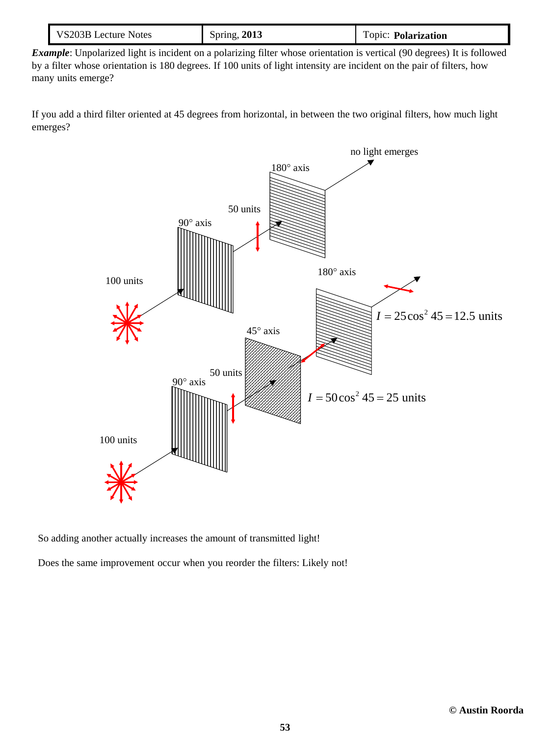| VS203B Lecture Notes | <b>Spring, 2013</b> | Topic: Polarization |
|----------------------|---------------------|---------------------|
|----------------------|---------------------|---------------------|

*Example*: Unpolarized light is incident on a polarizing filter whose orientation is vertical (90 degrees) It is followed by a filter whose orientation is 180 degrees. If 100 units of light intensity are incident on the pair of filters, how many units emerge?

If you add a third filter oriented at 45 degrees from horizontal, in between the two original filters, how much light emerges?



So adding another actually increases the amount of transmitted light!

Does the same improvement occur when you reorder the filters: Likely not!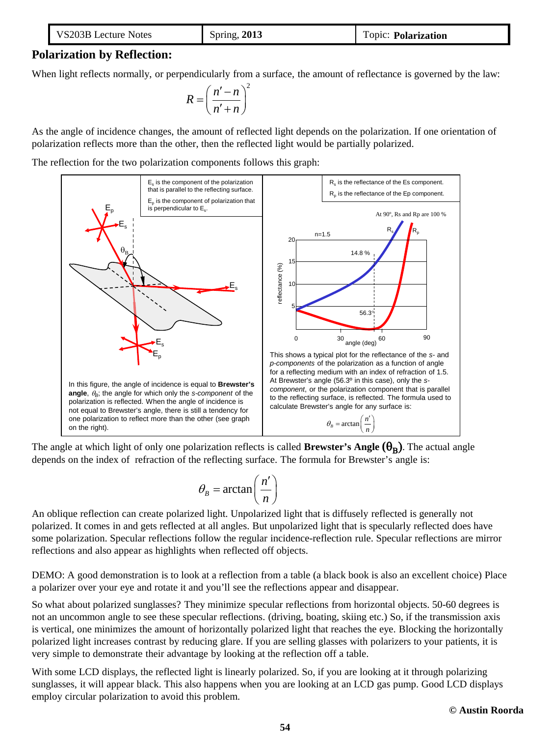| VS203B Lecture Notes | <b>Spring, 2013</b> | Topic: <b>Polarization</b> |
|----------------------|---------------------|----------------------------|
|----------------------|---------------------|----------------------------|

# **Polarization by Reflection:**

When light reflects normally, or perpendicularly from a surface, the amount of reflectance is governed by the law:

$$
R = \left(\frac{n'-n}{n'+n}\right)^2
$$

As the angle of incidence changes, the amount of reflected light depends on the polarization. If one orientation of polarization reflects more than the other, then the reflected light would be partially polarized.

The reflection for the two polarization components follows this graph:



The angle at which light of only one polarization reflects is called **Brewster's Angle**  $(\theta_R)$ . The actual angle depends on the index of refraction of the reflecting surface. The formula for Brewster's angle is:

$$
\theta_B = \arctan\left(\frac{n'}{n}\right)
$$

An oblique reflection can create polarized light. Unpolarized light that is diffusely reflected is generally not polarized. It comes in and gets reflected at all angles. But unpolarized light that is specularly reflected does have some polarization. Specular reflections follow the regular incidence-reflection rule. Specular reflections are mirror reflections and also appear as highlights when reflected off objects.

DEMO: A good demonstration is to look at a reflection from a table (a black book is also an excellent choice) Place a polarizer over your eye and rotate it and you'll see the reflections appear and disappear.

So what about polarized sunglasses? They minimize specular reflections from horizontal objects. 50-60 degrees is not an uncommon angle to see these specular reflections. (driving, boating, skiing etc.) So, if the transmission axis is vertical, one minimizes the amount of horizontally polarized light that reaches the eye. Blocking the horizontally polarized light increases contrast by reducing glare. If you are selling glasses with polarizers to your patients, it is very simple to demonstrate their advantage by looking at the reflection off a table.

With some LCD displays, the reflected light is linearly polarized. So, if you are looking at it through polarizing sunglasses, it will appear black. This also happens when you are looking at an LCD gas pump. Good LCD displays employ circular polarization to avoid this problem.